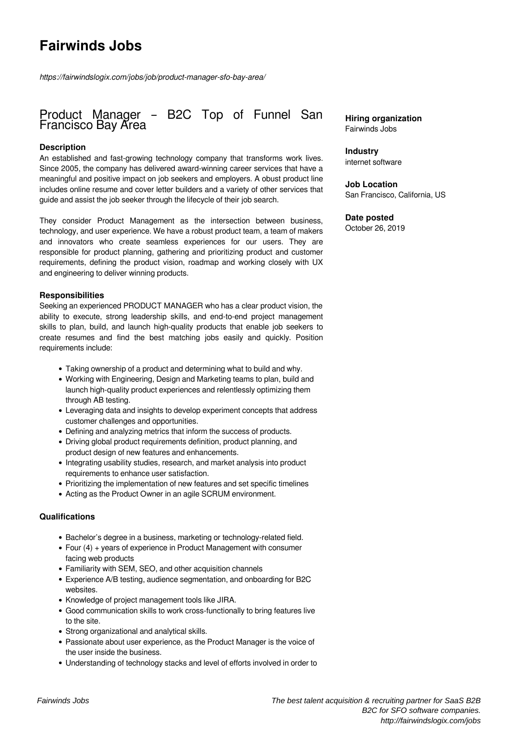# **Fairwinds Jobs**

*https://fairwindslogix.com/jobs/job/product-manager-sfo-bay-area/*

# Product Manager – B2C Top of Funnel San Francisco Bay Area

## **Description**

An established and fast-growing technology company that transforms work lives. Since 2005, the company has delivered award-winning career services that have a meaningful and positive impact on job seekers and employers. A obust product line includes online resume and cover letter builders and a variety of other services that guide and assist the job seeker through the lifecycle of their job search.

They consider Product Management as the intersection between business, technology, and user experience. We have a robust product team, a team of makers and innovators who create seamless experiences for our users. They are responsible for product planning, gathering and prioritizing product and customer requirements, defining the product vision, roadmap and working closely with UX and engineering to deliver winning products.

#### **Responsibilities**

Seeking an experienced PRODUCT MANAGER who has a clear product vision, the ability to execute, strong leadership skills, and end-to-end project management skills to plan, build, and launch high-quality products that enable job seekers to create resumes and find the best matching jobs easily and quickly. Position requirements include:

- Taking ownership of a product and determining what to build and why.
- Working with Engineering, Design and Marketing teams to plan, build and launch high-quality product experiences and relentlessly optimizing them through AB testing.
- Leveraging data and insights to develop experiment concepts that address customer challenges and opportunities.
- Defining and analyzing metrics that inform the success of products.
- Driving global product requirements definition, product planning, and product design of new features and enhancements.
- Integrating usability studies, research, and market analysis into product requirements to enhance user satisfaction.
- Prioritizing the implementation of new features and set specific timelines
- Acting as the Product Owner in an agile SCRUM environment.

#### **Qualifications**

- Bachelor's degree in a business, marketing or technology-related field.
- Four (4) + years of experience in Product Management with consumer facing web products
- Familiarity with SEM, SEO, and other acquisition channels
- Experience A/B testing, audience segmentation, and onboarding for B2C websites.
- Knowledge of project management tools like JIRA.
- Good communication skills to work cross-functionally to bring features live to the site.
- Strong organizational and analytical skills.
- Passionate about user experience, as the Product Manager is the voice of the user inside the business.
- Understanding of technology stacks and level of efforts involved in order to

**Hiring organization** Fairwinds Jobs

## **Industry**

internet software

**Job Location** San Francisco, California, US

# **Date posted**

October 26, 2019